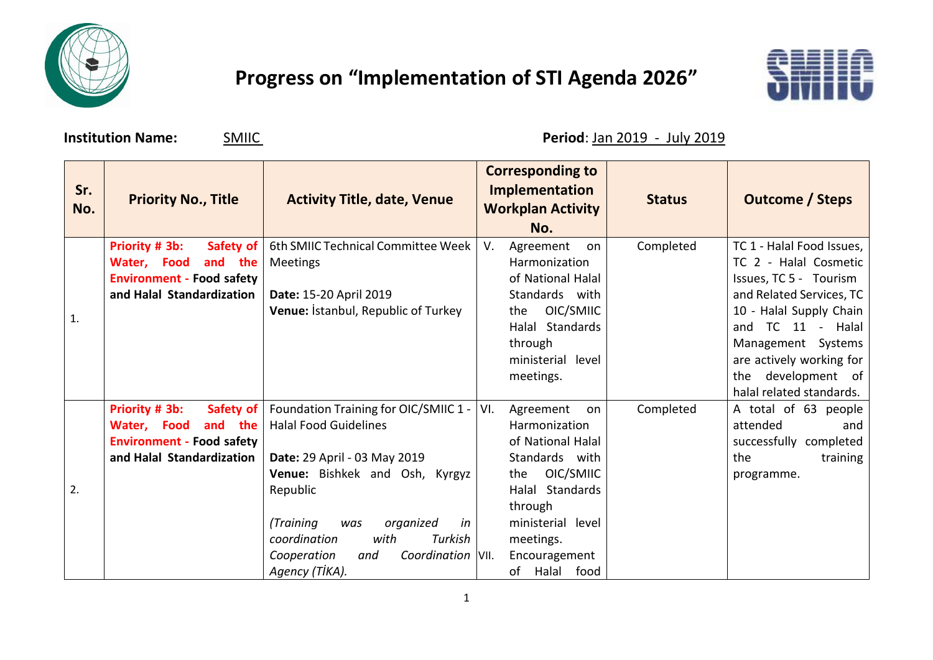

## **Progress on "Implementation of STI Agenda 2026"**



**Institution Name: SMIIC Period**: Jan 2019 - July 2019

| Sr.<br>No. | <b>Priority No., Title</b>                                                                                                          | <b>Activity Title, date, Venue</b>                                                                                                                                                                                            |            | <b>Corresponding to</b><br><b>Implementation</b><br><b>Workplan Activity</b><br>No.                                                                  | <b>Status</b> | <b>Outcome / Steps</b>                                                                                                                              |
|------------|-------------------------------------------------------------------------------------------------------------------------------------|-------------------------------------------------------------------------------------------------------------------------------------------------------------------------------------------------------------------------------|------------|------------------------------------------------------------------------------------------------------------------------------------------------------|---------------|-----------------------------------------------------------------------------------------------------------------------------------------------------|
| 1.         | Priority # 3b:<br>Safety of<br>and<br>the<br>Water,<br><b>Food</b><br><b>Environment - Food safety</b><br>and Halal Standardization | 6th SMIIC Technical Committee Week<br>Meetings<br>Date: 15-20 April 2019                                                                                                                                                      | V.         | Agreement<br>on<br>Harmonization<br>of National Halal<br>Standards with                                                                              | Completed     | TC 1 - Halal Food Issues,<br>TC 2 - Halal Cosmetic<br>Issues, TC 5 - Tourism<br>and Related Services, TC                                            |
|            |                                                                                                                                     | Venue: Istanbul, Republic of Turkey                                                                                                                                                                                           | the        | OIC/SMIIC<br>Halal Standards<br>through<br>ministerial level<br>meetings.                                                                            |               | 10 - Halal Supply Chain<br>and TC 11 - Halal<br>Management Systems<br>are actively working for<br>development of<br>the<br>halal related standards. |
| 2.         | Priority # 3b:<br>Safety of<br>and the<br>Water, Food<br><b>Environment - Food safety</b><br>and Halal Standardization              | Foundation Training for OIC/SMIIC 1 -<br><b>Halal Food Guidelines</b><br>Date: 29 April - 03 May 2019<br>Venue: Bishkek and Osh, Kyrgyz<br>Republic<br>(Training<br>organized<br>in<br>was<br>coordination<br>with<br>Turkish | VI.<br>the | Agreement<br>on<br>Harmonization<br>of National Halal<br>Standards with<br>OIC/SMIIC<br>Halal Standards<br>through<br>ministerial level<br>meetings. | Completed     | A total of 63 people<br>attended<br>and<br>successfully completed<br>the<br>training<br>programme.                                                  |
|            |                                                                                                                                     | Coordination VII.<br>Cooperation<br>and<br>Agency (TİKA).                                                                                                                                                                     |            | Encouragement<br>of Halal food                                                                                                                       |               |                                                                                                                                                     |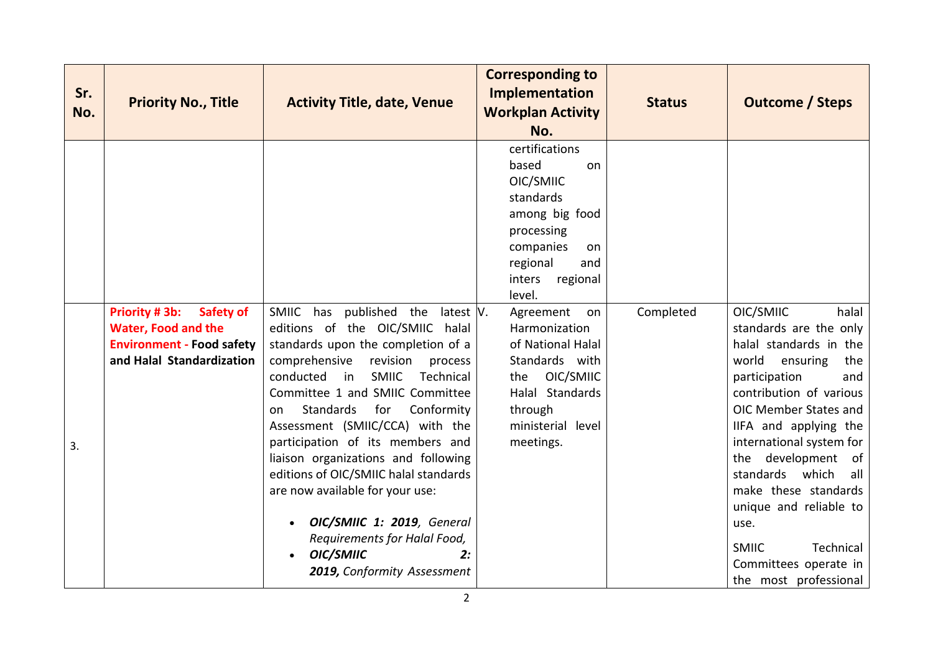| Sr.<br>No. | <b>Priority No., Title</b>                                                                                                       | <b>Activity Title, date, Venue</b>                                                                                                                                                                                                                                                                                                                                                                                                                                                                                                                                                                                 | <b>Corresponding to</b><br>Implementation<br><b>Workplan Activity</b><br>No.                                                                                         | <b>Status</b> | <b>Outcome / Steps</b>                                                                                                                                                                                                                                                                                                                                                                                                             |
|------------|----------------------------------------------------------------------------------------------------------------------------------|--------------------------------------------------------------------------------------------------------------------------------------------------------------------------------------------------------------------------------------------------------------------------------------------------------------------------------------------------------------------------------------------------------------------------------------------------------------------------------------------------------------------------------------------------------------------------------------------------------------------|----------------------------------------------------------------------------------------------------------------------------------------------------------------------|---------------|------------------------------------------------------------------------------------------------------------------------------------------------------------------------------------------------------------------------------------------------------------------------------------------------------------------------------------------------------------------------------------------------------------------------------------|
|            |                                                                                                                                  |                                                                                                                                                                                                                                                                                                                                                                                                                                                                                                                                                                                                                    | certifications<br>based<br>on<br>OIC/SMIIC<br>standards<br>among big food<br>processing<br>companies<br><b>on</b><br>regional<br>and<br>inters<br>regional<br>level. |               |                                                                                                                                                                                                                                                                                                                                                                                                                                    |
| 3.         | <b>Priority #3b:</b><br>Safety of<br><b>Water, Food and the</b><br><b>Environment - Food safety</b><br>and Halal Standardization | SMIIC has published the latest $ V $ .<br>editions of the OIC/SMIIC halal<br>standards upon the completion of a<br>comprehensive<br>revision<br>process<br>conducted<br><b>SMIIC</b><br>Technical<br>$\overline{\mathsf{in}}$<br>Committee 1 and SMIIC Committee<br>Conformity<br>Standards<br>for<br>on<br>Assessment (SMIIC/CCA) with the<br>participation of its members and<br>liaison organizations and following<br>editions of OIC/SMIIC halal standards<br>are now available for your use:<br>OIC/SMIIC 1: 2019, General<br>Requirements for Halal Food,<br>OIC/SMIIC<br>2:<br>2019, Conformity Assessment | Agreement<br>on<br>Harmonization<br>of National Halal<br>Standards with<br>OIC/SMIIC<br>the<br>Halal Standards<br>through<br>ministerial level<br>meetings.          | Completed     | OIC/SMIIC<br>halal<br>standards are the only<br>halal standards in the<br>world<br>ensuring<br>the<br>participation<br>and<br>contribution of various<br>OIC Member States and<br>IIFA and applying the<br>international system for<br>development<br>the<br>of<br>standards which<br>all<br>make these standards<br>unique and reliable to<br>use.<br>Technical<br><b>SMIIC</b><br>Committees operate in<br>the most professional |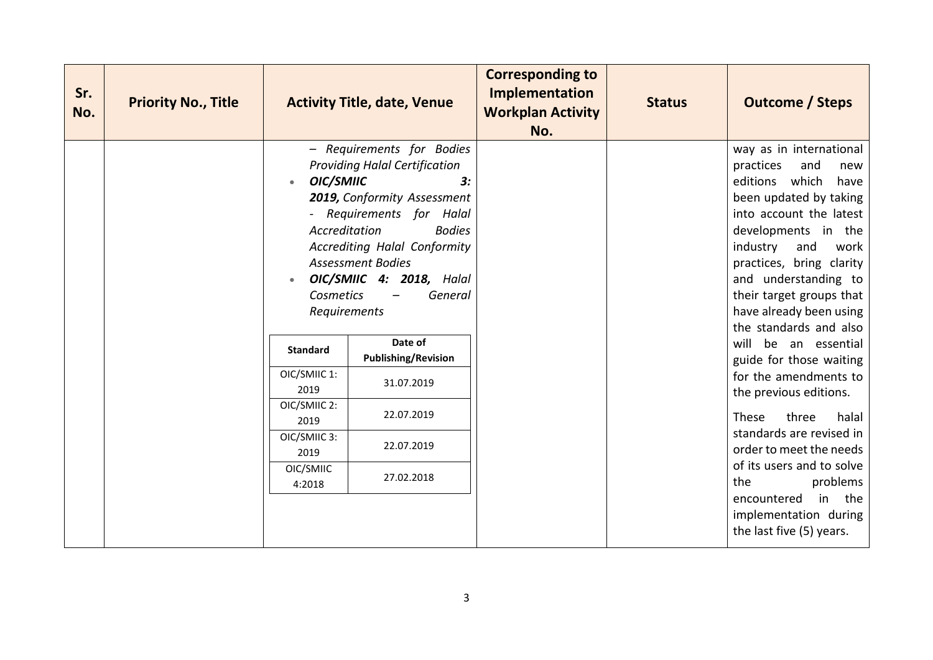|  |                                                                                                                                                                        |                                                                                                                                                                                                                                                                                                                                                  | <b>Workplan Activity</b><br>No. | <b>Status</b> | <b>Outcome / Steps</b>                                                                                                                                                                                                                                                                                                                                                                                                                                                                                           |
|--|------------------------------------------------------------------------------------------------------------------------------------------------------------------------|--------------------------------------------------------------------------------------------------------------------------------------------------------------------------------------------------------------------------------------------------------------------------------------------------------------------------------------------------|---------------------------------|---------------|------------------------------------------------------------------------------------------------------------------------------------------------------------------------------------------------------------------------------------------------------------------------------------------------------------------------------------------------------------------------------------------------------------------------------------------------------------------------------------------------------------------|
|  | OIC/SMIIC<br>$\bullet$<br>Accreditation<br><b>Cosmetics</b><br>Requirements<br><b>Standard</b><br>OIC/SMIIC 1:<br>2019<br>OIC/SMIIC 2:<br>2019<br>OIC/SMIIC 3:<br>2019 | - Requirements for Bodies<br><b>Providing Halal Certification</b><br>3:<br>2019, Conformity Assessment<br>- Requirements for Halal<br><b>Bodies</b><br><b>Accrediting Halal Conformity</b><br><b>Assessment Bodies</b><br>OIC/SMIIC 4: 2018, Halal<br>General<br>Date of<br><b>Publishing/Revision</b><br>31.07.2019<br>22.07.2019<br>22.07.2019 |                                 |               | way as in international<br>practices<br>and<br>new<br>editions which<br>have<br>been updated by taking<br>into account the latest<br>developments in the<br>industry<br>and<br>work<br>practices, bring clarity<br>and understanding to<br>their target groups that<br>have already been using<br>the standards and also<br>will be an essential<br>guide for those waiting<br>for the amendments to<br>the previous editions.<br>three<br>These<br>halal<br>standards are revised in<br>order to meet the needs |
|  | OIC/SMIIC<br>4:2018                                                                                                                                                    | 27.02.2018                                                                                                                                                                                                                                                                                                                                       |                                 |               | of its users and to solve<br>problems<br>the<br>encountered<br>in the<br>implementation during<br>the last five (5) years.                                                                                                                                                                                                                                                                                                                                                                                       |